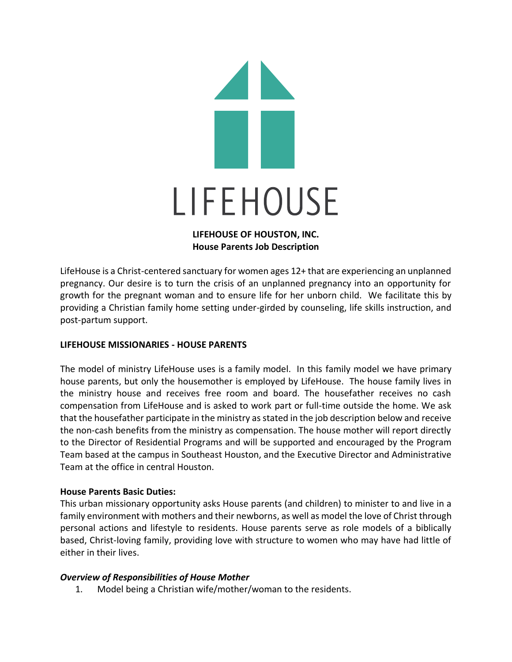

## **LIFEHOUSE OF HOUSTON, INC. House Parents Job Description**

LifeHouse is a Christ-centered sanctuary for women ages 12+ that are experiencing an unplanned pregnancy. Our desire is to turn the crisis of an unplanned pregnancy into an opportunity for growth for the pregnant woman and to ensure life for her unborn child. We facilitate this by providing a Christian family home setting under-girded by counseling, life skills instruction, and post-partum support.

# **LIFEHOUSE MISSIONARIES - HOUSE PARENTS**

The model of ministry LifeHouse uses is a family model. In this family model we have primary house parents, but only the housemother is employed by LifeHouse. The house family lives in the ministry house and receives free room and board. The housefather receives no cash compensation from LifeHouse and is asked to work part or full-time outside the home. We ask that the housefather participate in the ministry as stated in the job description below and receive the non-cash benefits from the ministry as compensation. The house mother will report directly to the Director of Residential Programs and will be supported and encouraged by the Program Team based at the campus in Southeast Houston, and the Executive Director and Administrative Team at the office in central Houston.

### **House Parents Basic Duties:**

This urban missionary opportunity asks House parents (and children) to minister to and live in a family environment with mothers and their newborns, as well as model the love of Christ through personal actions and lifestyle to residents. House parents serve as role models of a biblically based, Christ-loving family, providing love with structure to women who may have had little of either in their lives.

### *Overview of Responsibilities of House Mother*

1. Model being a Christian wife/mother/woman to the residents.